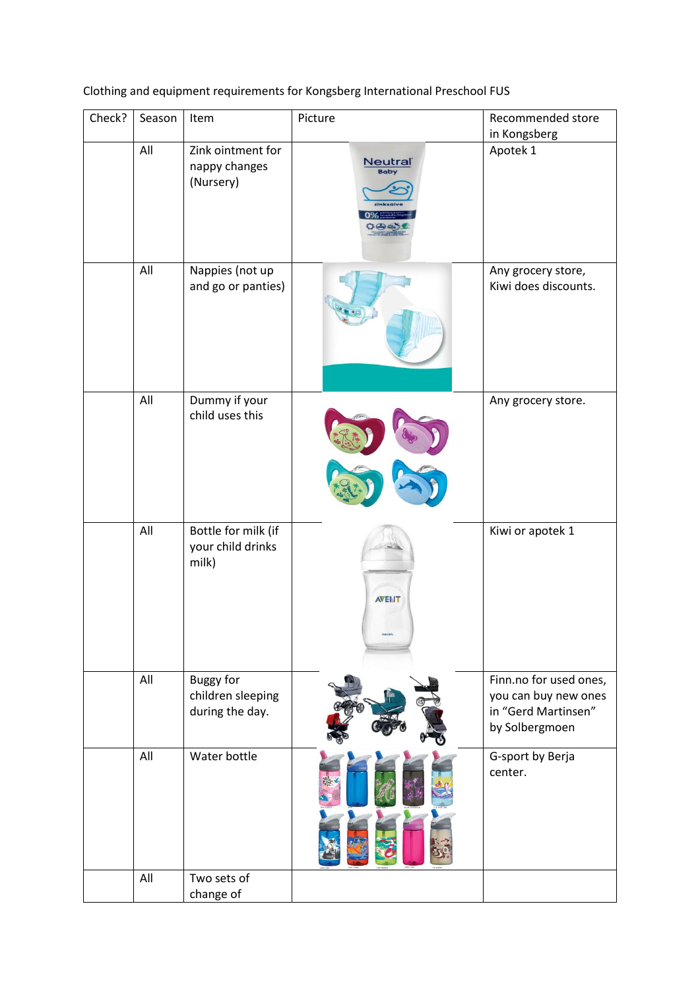Clothing and equipment requirements for Kongsberg International Preschool FUS

| Check? | Season | Item                                                     | Picture                                                                | Recommended store                                                                       |
|--------|--------|----------------------------------------------------------|------------------------------------------------------------------------|-----------------------------------------------------------------------------------------|
|        |        |                                                          |                                                                        | in Kongsberg                                                                            |
|        | All    | Zink ointment for<br>nappy changes<br>(Nursery)          | $\underbrace{\text{Neutra}^{\text{}}\text{N}^{\text{}}}_{\text{Baby}}$ | Apotek 1                                                                                |
|        | All    | Nappies (not up<br>and go or panties)                    |                                                                        | Any grocery store,<br>Kiwi does discounts.                                              |
|        | All    | Dummy if your<br>child uses this                         |                                                                        | Any grocery store.                                                                      |
|        | All    | Bottle for milk (if<br>your child drinks<br>milk)        | <b>AVENT</b>                                                           | Kiwi or apotek 1                                                                        |
|        | All    | <b>Buggy for</b><br>children sleeping<br>during the day. |                                                                        | Finn.no for used ones,<br>you can buy new ones<br>in "Gerd Martinsen"<br>by Solbergmoen |
|        | All    | Water bottle                                             |                                                                        | G-sport by Berja<br>center.                                                             |
|        | All    | Two sets of<br>change of                                 |                                                                        |                                                                                         |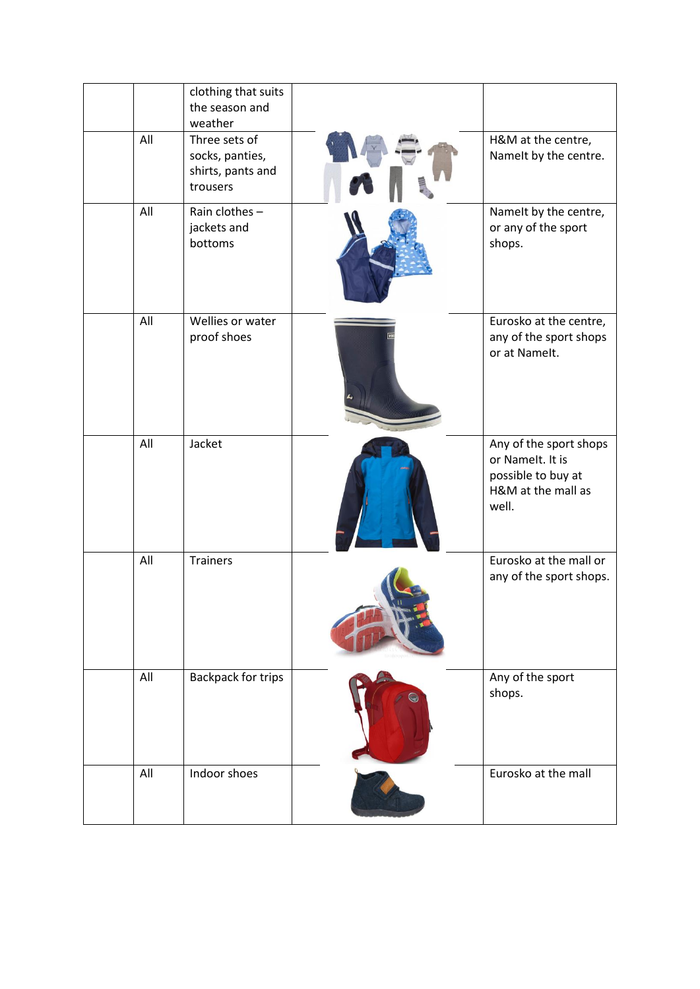|     | clothing that suits<br>the season and<br>weather                  |            |                                                                                                 |
|-----|-------------------------------------------------------------------|------------|-------------------------------------------------------------------------------------------------|
| All | Three sets of<br>socks, panties,<br>shirts, pants and<br>trousers |            | H&M at the centre,<br>Namelt by the centre.                                                     |
| All | Rain clothes-<br>jackets and<br>bottoms                           |            | Namelt by the centre,<br>or any of the sport<br>shops.                                          |
| All | Wellies or water<br>proof shoes                                   |            | Eurosko at the centre,<br>any of the sport shops<br>or at Namelt.                               |
| All | Jacket                                                            |            | Any of the sport shops<br>or Namelt. It is<br>possible to buy at<br>H&M at the mall as<br>well. |
| All | <b>Trainers</b>                                                   |            | Eurosko at the mall or<br>any of the sport shops.                                               |
| All | <b>Backpack for trips</b>                                         | $\bigcirc$ | Any of the sport<br>shops.                                                                      |
| All | Indoor shoes                                                      |            | Eurosko at the mall                                                                             |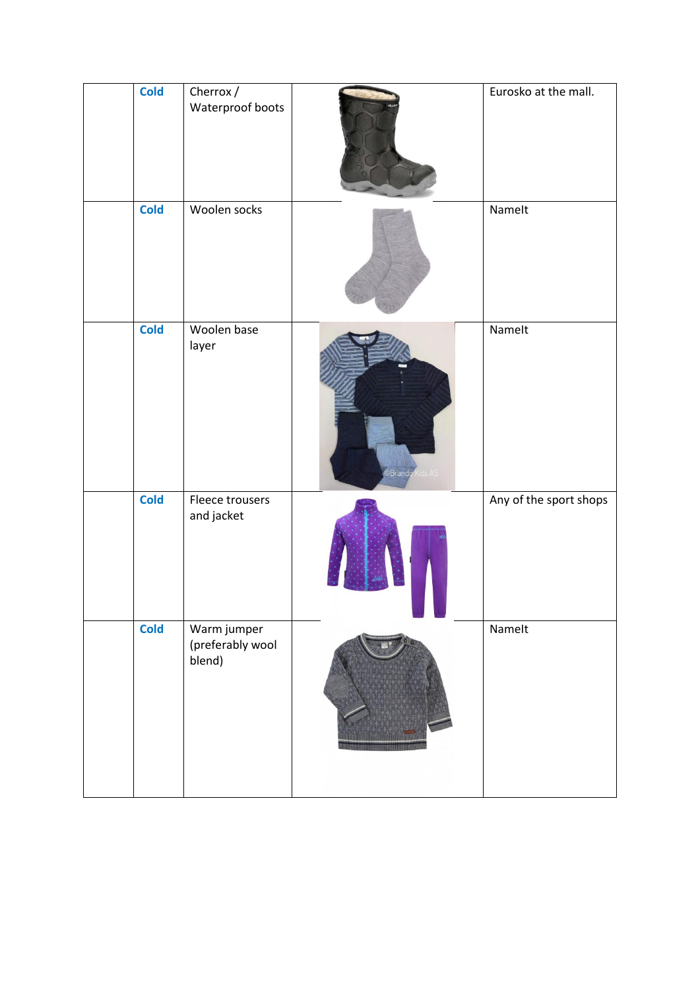| <b>Cold</b> | Cherrox $\overline{ }$<br>Waterproof boots |                                | Eurosko at the mall.   |
|-------------|--------------------------------------------|--------------------------------|------------------------|
| <b>Cold</b> | Woolen socks                               |                                | Namelt                 |
| <b>Cold</b> | Woolen base<br>layer                       | O <mark>Brando K</mark> ids AS | Namelt                 |
| <b>Cold</b> | Fleece trousers<br>and jacket              |                                | Any of the sport shops |
| <b>Cold</b> | Warm jumper<br>(preferably wool<br>blend)  |                                | Namelt                 |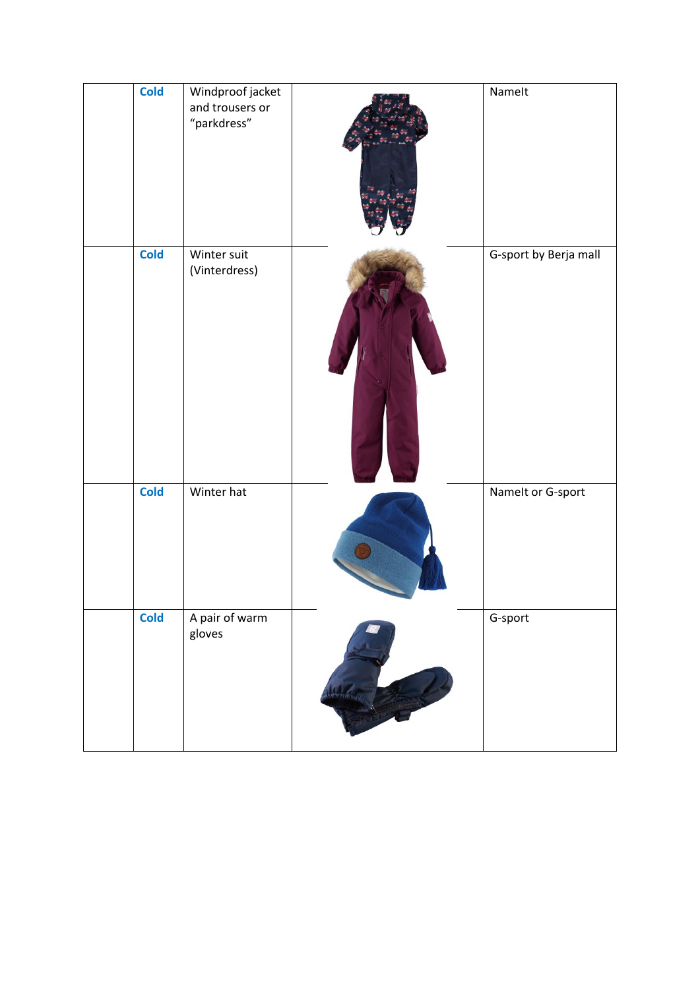| <b>Cold</b> | Windproof jacket<br>and trousers or<br>"parkdress" |                 | Namelt                |
|-------------|----------------------------------------------------|-----------------|-----------------------|
| <b>Cold</b> | Winter suit<br>(Vinterdress)                       |                 | G-sport by Berja mall |
| <b>Cold</b> | Winter hat                                         |                 | Namelt or G-sport     |
| <b>Cold</b> | A pair of warm<br>gloves                           | Received Assets | G-sport               |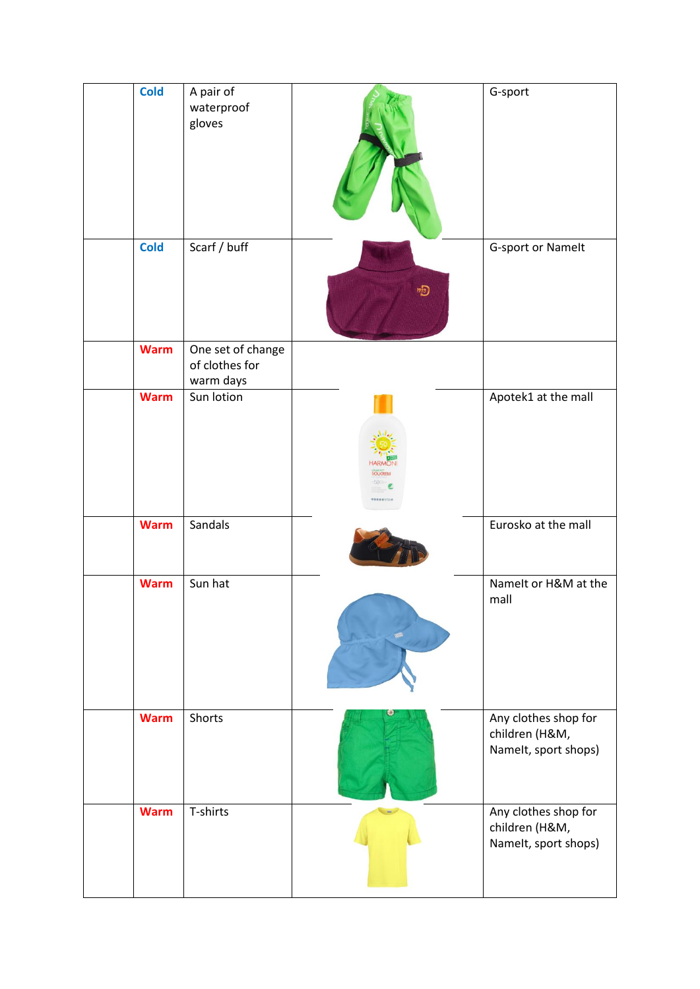| <b>Cold</b> | A pair of<br>waterproof<br>gloves                |                                    | G-sport                                                        |
|-------------|--------------------------------------------------|------------------------------------|----------------------------------------------------------------|
| <b>Cold</b> | Scarf / buff                                     | $\overline{\mathcal{P}}$           | G-sport or Namelt                                              |
| <b>Warm</b> | One set of change<br>of clothes for<br>warm days |                                    |                                                                |
| <b>Warm</b> | Sun lotion                                       | <b>SOLKREN</b><br><b>RRBBBVIIA</b> | Apotek1 at the mall                                            |
| <b>Warm</b> | Sandals                                          |                                    | Eurosko at the mall                                            |
| <b>Warm</b> | Sun hat                                          |                                    | Namelt or H&M at the<br>mall                                   |
| <b>Warm</b> | Shorts                                           |                                    | Any clothes shop for<br>children (H&M,<br>Namelt, sport shops) |
| <b>Warm</b> | T-shirts                                         |                                    | Any clothes shop for<br>children (H&M,<br>Namelt, sport shops) |